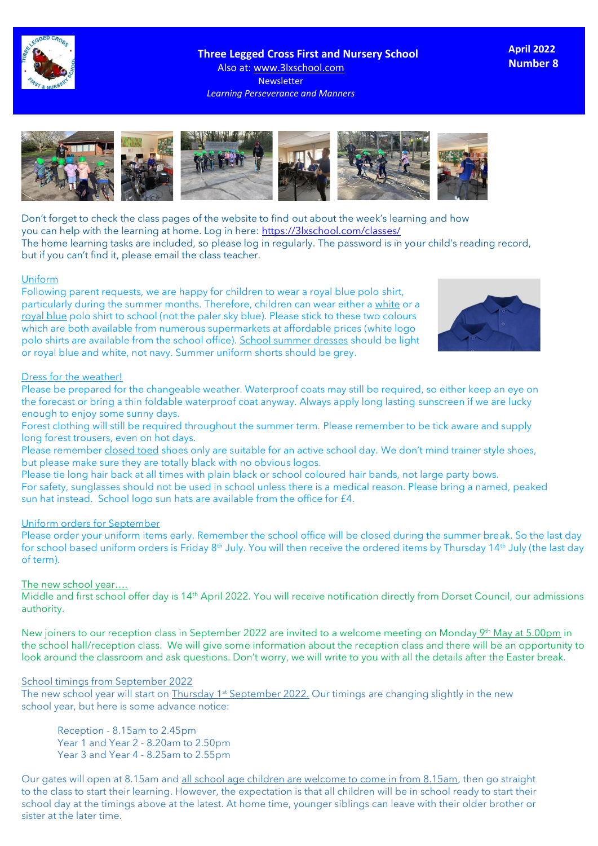

 **Three Legged Cross First and Nursery School** Also at: www.3lxschool.com Newsletter *Learning Perseverance and Manners*

**April 2022 Number 8**



Don't forget to check the class pages of the website to find out about the week's learning and how you can help with the learning at home. Log in here: <https://3lxschool.com/classes/> The home learning tasks are included, so please log in regularly. The password is in your child's reading record, but if you can't find it, please email the class teacher.

#### Uniform

Following parent requests, we are happy for children to wear a royal blue polo shirt, particularly during the summer months. Therefore, children can wear either a white or a royal blue polo shirt to school (not the paler sky blue). Please stick to these two colours which are both available from numerous supermarkets at affordable prices (white logo polo shirts are available from the school office). School summer dresses should be light or royal blue and white, not navy. Summer uniform shorts should be grey.



#### Dress for the weather!

Please be prepared for the changeable weather. Waterproof coats may still be required, so either keep an eye on the forecast or bring a thin foldable waterproof coat anyway. Always apply long lasting sunscreen if we are lucky enough to enjoy some sunny days.

Forest clothing will still be required throughout the summer term. Please remember to be tick aware and supply long forest trousers, even on hot days.

Please remember closed toed shoes only are suitable for an active school day. We don't mind trainer style shoes, but please make sure they are totally black with no obvious logos.

Please tie long hair back at all times with plain black or school coloured hair bands, not large party bows. For safety, sunglasses should not be used in school unless there is a medical reason. Please bring a named, peaked sun hat instead. School logo sun hats are available from the office for £4.

### Uniform orders for September

Please order your uniform items early. Remember the school office will be closed during the summer break. So the last day for school based uniform orders is Friday 8<sup>th</sup> July. You will then receive the ordered items by Thursday 14<sup>th</sup> July (the last day of term).

#### The new school year….

Middle and first school offer day is 14th April 2022. You will receive notification directly from Dorset Council, our admissions authority.

New joiners to our reception class in September 2022 are invited to a welcome meeting on Monday 9<sup>th</sup> May at 5.00pm in the school hall/reception class. We will give some information about the reception class and there will be an opportunity to look around the classroom and ask questions. Don't worry, we will write to you with all the details after the Easter break.

#### School timings from September 2022

The new school year will start on Thursday 1<sup>st</sup> September 2022. Our timings are changing slightly in the new school year, but here is some advance notice:

Reception - 8.15am to 2.45pm Year 1 and Year 2 - 8.20am to 2.50pm Year 3 and Year 4 - 8.25am to 2.55pm

Our gates will open at 8.15am and all school age children are welcome to come in from 8.15am, then go straight to the class to start their learning. However, the expectation is that all children will be in school ready to start their school day at the timings above at the latest. At home time, younger siblings can leave with their older brother or sister at the later time.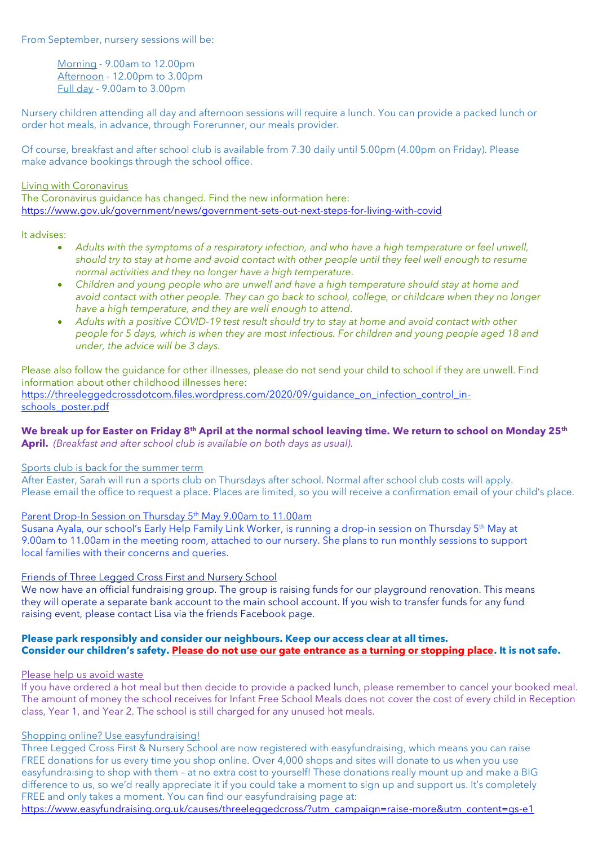From September, nursery sessions will be:

Morning - 9.00am to 12.00pm Afternoon - 12.00pm to 3.00pm Full day - 9.00am to 3.00pm

Nursery children attending all day and afternoon sessions will require a lunch. You can provide a packed lunch or order hot meals, in advance, through Forerunner, our meals provider.

Of course, breakfast and after school club is available from 7.30 daily until 5.00pm (4.00pm on Friday). Please make advance bookings through the school office.

#### Living with Coronavirus

The Coronavirus guidance has changed. Find the new information here: <https://www.gov.uk/government/news/government-sets-out-next-steps-for-living-with-covid>

It advises:

- *Adults with the symptoms of a respiratory infection, and who have a high temperature or feel unwell, should try to stay at home and avoid contact with other people until they feel well enough to resume normal activities and they no longer have a high temperature.*
- *Children and young people who are unwell and have a high temperature should stay at home and avoid contact with other people. They can go back to school, college, or childcare when they no longer have a high temperature, and they are well enough to attend.*
- *Adults with a positive COVID-19 test result should try to stay at home and avoid contact with other people for 5 days, which is when they are most infectious. For children and young people aged 18 and under, the advice will be 3 days.*

Please also follow the guidance for other illnesses, please do not send your child to school if they are unwell. Find information about other childhood illnesses here: [https://threeleggedcrossdotcom.files.wordpress.com/2020/09/guidance\\_on\\_infection\\_control\\_in-](https://threeleggedcrossdotcom.files.wordpress.com/2020/09/guidance_on_infection_control_in-schools_poster.pdf)

[schools\\_poster.pdf](https://threeleggedcrossdotcom.files.wordpress.com/2020/09/guidance_on_infection_control_in-schools_poster.pdf)

# **We break up for Easter on Friday 8th April at the normal school leaving time. We return to school on Monday 25th**

**April.** *(Breakfast and after school club is available on both days as usual).* 

## Sports club is back for the summer term

After Easter, Sarah will run a sports club on Thursdays after school. Normal after school club costs will apply. Please email the office to request a place. Places are limited, so you will receive a confirmation email of your child's place.

## Parent Drop-In Session on Thursday 5<sup>th</sup> May 9.00am to 11.00am

Susana Ayala, our school's Early Help Family Link Worker, is running a drop-in session on Thursday 5th May at 9.00am to 11.00am in the meeting room, attached to our nursery. She plans to run monthly sessions to support local families with their concerns and queries.

### Friends of Three Legged Cross First and Nursery School

We now have an official fundraising group. The group is raising funds for our playground renovation. This means they will operate a separate bank account to the main school account. If you wish to transfer funds for any fund raising event, please contact Lisa via the friends Facebook page.

### **Please park responsibly and consider our neighbours. Keep our access clear at all times. Consider our children's safety. Please do not use our gate entrance as a turning or stopping place. It is not safe.**

### Please help us avoid waste

If you have ordered a hot meal but then decide to provide a packed lunch, please remember to cancel your booked meal. The amount of money the school receives for Infant Free School Meals does not cover the cost of every child in Reception class, Year 1, and Year 2. The school is still charged for any unused hot meals.

### Shopping online? Use easyfundraising!

Three Legged Cross First & Nursery School are now registered with easyfundraising, which means you can raise FREE donations for us every time you shop online. Over 4,000 shops and sites will donate to us when you use easyfundraising to shop with them – at no extra cost to yourself! These donations really mount up and make a BIG difference to us, so we'd really appreciate it if you could take a moment to sign up and support us. It's completely FREE and only takes a moment. You can find our easyfundraising page at:

[https://www.easyfundraising.org.uk/causes/threeleggedcross/?utm\\_campaign=raise-more&utm\\_content=gs-e1](https://www.easyfundraising.org.uk/causes/threeleggedcross/?utm_campaign=raise-more&utm_content=gs-e1)